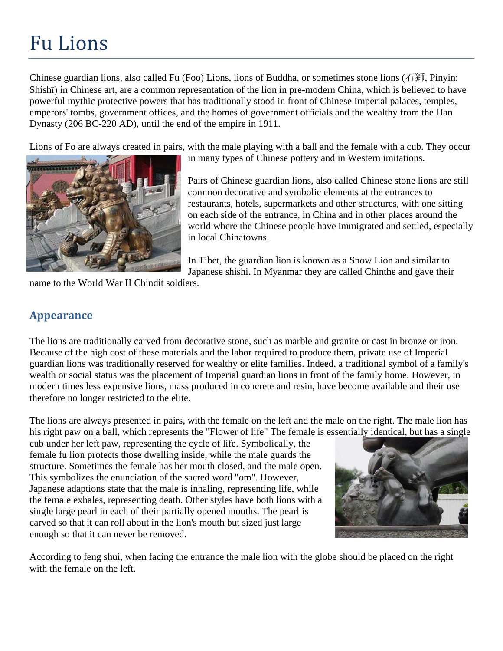## Fu Lions

Chinese guardian lions, also called Fu (Foo) Lions, lions of Buddha, or sometimes [stone lions](http://en.wikipedia.org/wiki/Shishi_%28stone_lion%29) (石獅, [Pinyin:](http://en.wikipedia.org/wiki/Pinyin) Shíshī) in [Chinese art,](http://en.wikipedia.org/wiki/Chinese_art) are a common representation of the [lion](http://en.wikipedia.org/wiki/Asiatic_lion) in pre-modern China, which is believed to have powerful [mythic](http://en.wikipedia.org/wiki/Chinese_mythology) protective powers that has traditionally stood in front of [Chinese](http://en.wikipedia.org/wiki/China) Imperial palaces, temples, emperors' tombs, government offices, and the homes of government officials and the wealthy from the [Han](http://en.wikipedia.org/wiki/Han_Dynasty)  [Dynasty](http://en.wikipedia.org/wiki/Han_Dynasty) [\(206 BC-](http://en.wikipedia.org/wiki/206_BC)[220 AD\)](http://en.wikipedia.org/wiki/220_AD), until the end of the empire in 1911.

Lions of Fo are always created in pairs, with the male playing with a ball and the female with a cub. They occur



in many types of Chinese pottery and in Western imitations.

Pairs of Chinese guardian lions, also called Chinese stone lions are still common decorative and symbolic elements at the entrances to restaurants, hotels, supermarkets and other structures, with one sitting on each side of the entrance, in China and in other places around the world where the Chinese people have immigrated and settled, especially in local [Chinatowns.](http://en.wikipedia.org/wiki/Chinatown)

In [Tibet,](http://en.wikipedia.org/wiki/Tibet) the guardian lion is known as a [Snow Lion](http://en.wikipedia.org/wiki/Snow_Lion) and similar to Japanese [shishi.](http://en.wikipedia.org/wiki/Shishi_%28stone_lion%29) In [Myanmar](http://en.wikipedia.org/wiki/Myanmar) they are called [Chinthe](http://en.wikipedia.org/wiki/Chinthe) and gave their

name to the [World War II](http://en.wikipedia.org/wiki/World_War_II) [Chindit](http://en.wikipedia.org/wiki/Chindit) soldiers.

## **Appearance**

The lions are traditionally carved from decorative stone, such as marble and granite or cast in bronze or iron. Because of the high cost of these materials and the labor required to produce them, private use of Imperial guardian lions was traditionally reserved for wealthy or elite families. Indeed, a traditional symbol of a family's wealth or social status was the placement of Imperial guardian lions in front of the family home. However, in modern times less expensive lions, mass produced in concrete and resin, have become available and their use therefore no longer restricted to the elite.

The lions are always presented in pairs, with the female on the left and the male on the right. The male lion has his right paw on a ball, which represents the ["Flower of life"](http://en.wikipedia.org/wiki/Flower_of_life) The female is essentially identical, but has a single

cub under her left paw, representing the cycle of life. Symbolically, the female fu lion protects those dwelling inside, while the male guards the structure. Sometimes the female has her mouth closed, and the male open. This symbolizes the enunciation of the sacred word "om". However, Japanese adaptions state that the male is inhaling, representing life, while the female exhales, representing death. Other styles have both lions with a single large [pearl](http://en.wikipedia.org/wiki/Pearl) in each of their partially opened mouths. The pearl is carved so that it can roll about in the lion's mouth but sized just large enough so that it can never be removed.



According to [feng shui,](http://en.wikipedia.org/wiki/Feng_shui) when facing the entrance the male lion with the globe should be placed on the right with the female on the left.